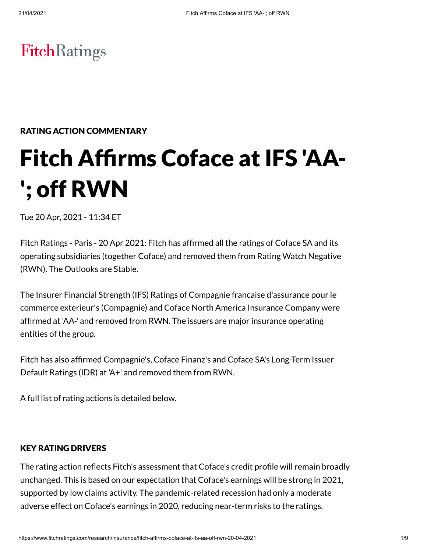# **FitchRatings**

#### RATING ACTION COMMENTARY

# Fitch Affirms Coface at IFS 'AA-'; off RWN

Tue 20 Apr, 2021 - 11:34 ET

Fitch Ratings - Paris - 20 Apr 2021: Fitch has affirmed all the ratings of Coface SA and its operating subsidiaries (together Coface) and removed them from Rating Watch Negative (RWN). The Outlooks are Stable.

The Insurer Financial Strength (IFS) Ratings of Compagnie francaise d'assurance pour le commerce exterieur's (Compagnie) and Coface North America Insurance Company were afrmed at 'AA-' and removed from RWN. The issuers are major insurance operating entities of the group.

Fitch has also afrmed Compagnie's, Coface Finanz's and Coface SA's Long-Term Issuer Default Ratings (IDR) at 'A+' and removed them from RWN.

A full list of rating actions is detailed below.

#### KEY RATING DRIVERS

The rating action reflects Fitch's assessment that Coface's credit profile will remain broadly unchanged. This is based on our expectation that Coface's earnings will be strong in 2021, supported by low claims activity. The pandemic-related recession had only a moderate adverse effect on Coface's earnings in 2020, reducing near-term risks to the ratings.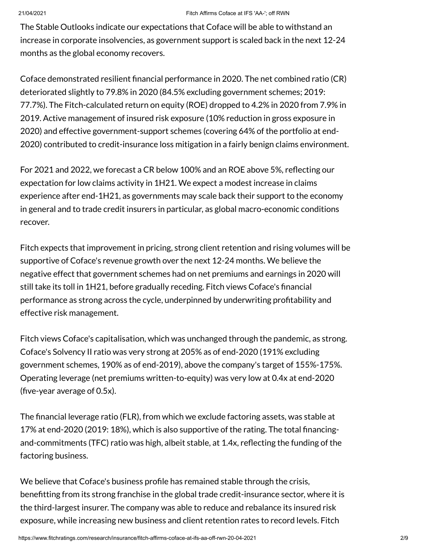The Stable Outlooks indicate our expectations that Coface will be able to withstand an increase in corporate insolvencies, as government support is scaled back in the next 12-24 months as the global economy recovers.

Coface demonstrated resilient financial performance in 2020. The net combined ratio (CR) deteriorated slightly to 79.8% in 2020 (84.5% excluding government schemes; 2019: 77.7%). The Fitch-calculated return on equity (ROE) dropped to 4.2% in 2020 from 7.9% in 2019. Active management of insured risk exposure (10% reduction in gross exposure in 2020) and effective government-support schemes (covering 64% of the portfolio at end-2020) contributed to credit-insurance loss mitigation in a fairly benign claims environment.

For 2021 and 2022, we forecast a CR below 100% and an ROE above 5%, reflecting our expectation for low claims activity in 1H21. We expect a modest increase in claims experience after end-1H21, as governments may scale back their support to the economy in general and to trade credit insurers in particular, as global macro-economic conditions recover.

Fitch expects that improvement in pricing, strong client retention and rising volumes will be supportive of Coface's revenue growth over the next 12-24 months. We believe the negative effect that government schemes had on net premiums and earnings in 2020 will still take its toll in 1H21, before gradually receding. Fitch views Coface's financial performance as strong across the cycle, underpinned by underwriting profitability and effective risk management.

Fitch views Coface's capitalisation, which was unchanged through the pandemic, as strong. Coface's Solvency II ratio was very strong at 205% as of end-2020 (191% excluding government schemes, 190% as of end-2019), above the company's target of 155%-175%. Operating leverage (net premiums written-to-equity) was very low at 0.4x at end-2020 (five-year average of  $0.5x$ ).

The financial leverage ratio (FLR), from which we exclude factoring assets, was stable at 17% at end-2020 (2019: 18%), which is also supportive of the rating. The total financingand-commitments (TFC) ratio was high, albeit stable, at 1.4x, reflecting the funding of the factoring business.

We believe that Coface's business profile has remained stable through the crisis, benefitting from its strong franchise in the global trade credit-insurance sector, where it is the third-largest insurer. The company was able to reduce and rebalance its insured risk exposure, while increasing new business and client retention rates to record levels. Fitch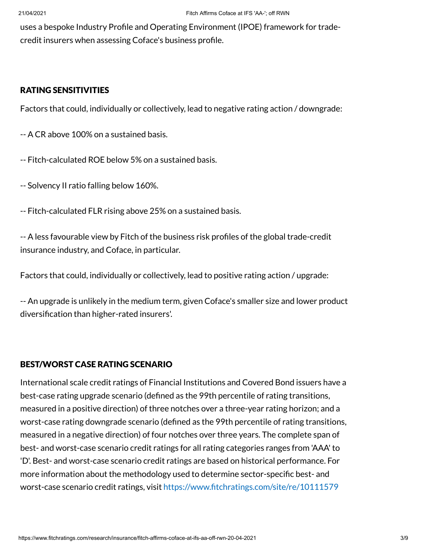uses a bespoke Industry Profile and Operating Environment (IPOE) framework for tradecredit insurers when assessing Coface's business profile.

#### RATING SENSITIVITIES

Factors that could, individually or collectively, lead to negative rating action / downgrade:

- -- A CR above 100% on a sustained basis.
- -- Fitch-calculated ROE below 5% on a sustained basis.
- -- Solvency II ratio falling below 160%.

-- Fitch-calculated FLR rising above 25% on a sustained basis.

-- A less favourable view by Fitch of the business risk profiles of the global trade-credit insurance industry, and Coface, in particular.

Factors that could, individually or collectively, lead to positive rating action / upgrade:

-- An upgrade is unlikely in the medium term, given Coface's smaller size and lower product diversification than higher-rated insurers'.

#### BEST/WORST CASE RATING SCENARIO

International scale credit ratings of Financial Institutions and Covered Bond issuers have a best-case rating upgrade scenario (defined as the 99th percentile of rating transitions, measured in a positive direction) of three notches over a three-year rating horizon; and a worst-case rating downgrade scenario (defined as the 99th percentile of rating transitions, measured in a negative direction) of four notches over three years. The complete span of best- and worst-case scenario credit ratings for all rating categories ranges from 'AAA' to 'D'. Best- and worst-case scenario credit ratings are based on historical performance. For more information about the methodology used to determine sector-specific best- and worst-case scenario credit ratings, visit https://www.fitchratings.com/site/re/10111579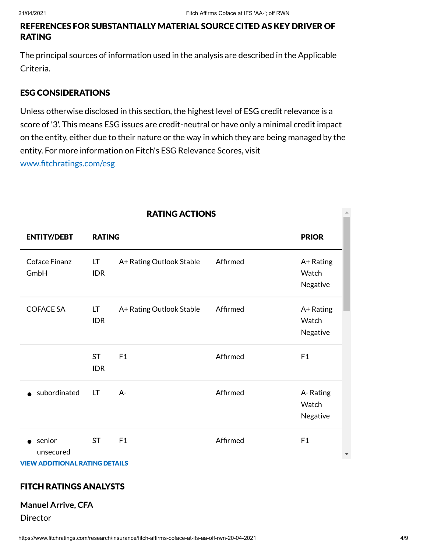#### REFERENCES FOR SUBSTANTIALLY MATERIAL SOURCE CITED AS KEY DRIVER OF RATING

The principal sources of information used in the analysis are described in the Applicable Criteria.

#### ESG CONSIDERATIONS

Unless otherwise disclosed in this section, the highest level of ESG credit relevance is a score of '3'. This means ESG issues are credit-neutral or have only a minimal credit impact on the entity, either due to their nature or the way in which they are being managed by the entity. For more information on Fitch's ESG Relevance Scores, visit www.fitchratings.com/esg

| <b>ENTITY/DEBT</b>                                           | <b>RATING</b>           | <b>PRIOR</b>             |          |                                |
|--------------------------------------------------------------|-------------------------|--------------------------|----------|--------------------------------|
| Coface Finanz<br>GmbH                                        | LT<br><b>IDR</b>        | A+ Rating Outlook Stable | Affirmed | A+ Rating<br>Watch<br>Negative |
| <b>COFACE SA</b>                                             | LT<br><b>IDR</b>        | A+ Rating Outlook Stable | Affirmed | A+ Rating<br>Watch<br>Negative |
|                                                              | <b>ST</b><br><b>IDR</b> | F <sub>1</sub>           | Affirmed | F <sub>1</sub>                 |
| subordinated                                                 | LT                      | $A -$                    | Affirmed | A-Rating<br>Watch<br>Negative  |
| senior<br>unsecured<br><b>VIEW ADDITIONAL RATING DETAILS</b> | <b>ST</b>               | F1                       | Affirmed | F1                             |

#### RATING ACTIONS

### FITCH RATINGS ANALYSTS

#### **Manuel Arrive, CFA**

Director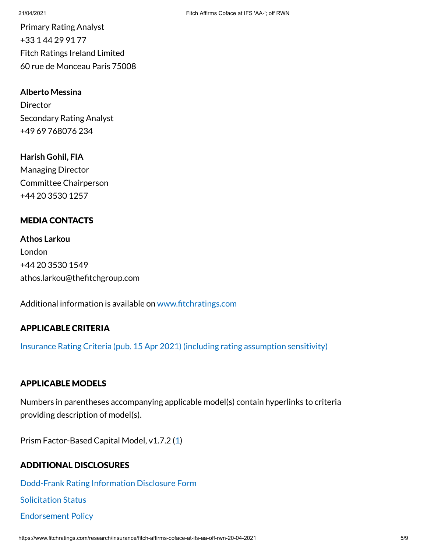21/04/2021 Fitch Affirms Coface at IFS 'AA-'; off RWN

Primary Rating Analyst +33 1 44 29 91 77 Fitch Ratings Ireland Limited 60 rue de Monceau Paris 75008

**Alberto Messina Director** Secondary Rating Analyst +49 69 768076 234

**Harish Gohil, FIA** Managing Director Committee Chairperson +44 20 3530 1257

#### MEDIA CONTACTS

**Athos Larkou** London +44 20 3530 1549 athos.larkou@thefitchgroup.com

Additional information is available on www.fitchratings.com

### APPLICABLE CRITERIA

Insurance Rating Criteria (pub. 15 Apr 2021) (including rating [assumption](https://www.fitchratings.com/research/insurance/insurance-rating-criteria-15-04-2021) sensitivity)

#### APPLICABLE MODELS

Numbers in parentheses accompanying applicable model(s) contain hyperlinks to criteria providing description of model(s).

Prism Factor-Based Capital Model, v1.7.2 [\(1](https://www.fitchratings.com/site/re/993794))

#### ADDITIONAL DISCLOSURES

[Dodd-Frank](https://www.fitchratings.com/research/insurance/fitch-affirms-coface-at-ifs-aa-off-rwn-20-04-2021/dodd-frank-disclosure) Rating Information Disclosure Form

Solicitation Status

#### [Endorsement](#page-7-0) Policy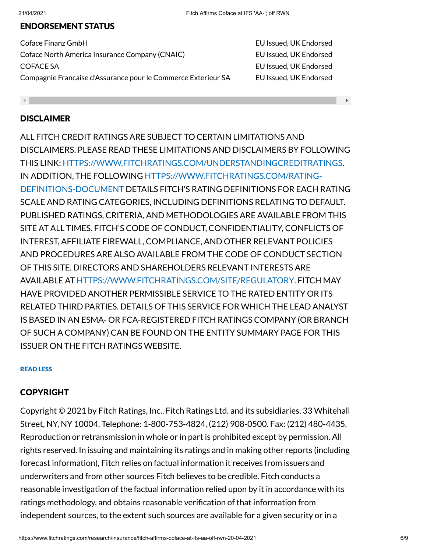#### ENDORSEMENT STATUS

Coface Finanz GmbH EU Issued, UK Endorsed Coface North America Insurance Company (CNAIC) EU Issued, UK Endorsed COFACE SA EU Issued, UK Endorsed Compagnie Francaise d'Assurance pour le Commerce Exterieur SA EU Issued, UK Endorsed

## $\left\| \cdot \right\|$

#### DISCLAIMER

ALL FITCH CREDIT RATINGS ARE SUBJECT TO CERTAIN LIMITATIONS AND DISCLAIMERS. PLEASE READ THESE LIMITATIONS AND DISCLAIMERS BY FOLLOWING THIS LINK: [HTTPS://WWW.FITCHRATINGS.COM/UNDERSTANDINGCREDITRATINGS](https://www.fitchratings.com/UNDERSTANDINGCREDITRATINGS). IN ADDITION, THE FOLLOWING [HTTPS://WWW.FITCHRATINGS.COM/RATING-](https://www.fitchratings.com/rating-definitions-document)DEFINITIONS-DOCUMENT DETAILS FITCH'S RATING DEFINITIONS FOR EACH RATING SCALE AND RATING CATEGORIES, INCLUDING DEFINITIONS RELATING TO DEFAULT. PUBLISHED RATINGS, CRITERIA, AND METHODOLOGIES ARE AVAILABLE FROM THIS SITE AT ALL TIMES. FITCH'S CODE OF CONDUCT, CONFIDENTIALITY, CONFLICTS OF INTEREST, AFFILIATE FIREWALL, COMPLIANCE, AND OTHER RELEVANT POLICIES AND PROCEDURES ARE ALSO AVAILABLE FROM THE CODE OF CONDUCT SECTION OF THIS SITE. DIRECTORS AND SHAREHOLDERS RELEVANT INTERESTS ARE AVAILABLE AT [HTTPS://WWW.FITCHRATINGS.COM/SITE/REGULATORY](https://www.fitchratings.com/site/regulatory). FITCH MAY HAVE PROVIDED ANOTHER PERMISSIBLE SERVICE TO THE RATED ENTITY OR ITS RELATED THIRD PARTIES. DETAILS OF THIS SERVICE FOR WHICH THE LEAD ANALYST IS BASED IN AN ESMA- OR FCA-REGISTERED FITCH RATINGS COMPANY (OR BRANCH OF SUCH A COMPANY) CAN BE FOUND ON THE ENTITY SUMMARY PAGE FOR THIS ISSUER ON THE FITCH RATINGS WEBSITE.

#### READ LESS

#### COPYRIGHT

Copyright © 2021 by Fitch Ratings, Inc., Fitch Ratings Ltd. and its subsidiaries. 33 Whitehall Street, NY, NY 10004. Telephone: 1-800-753-4824, (212) 908-0500. Fax: (212) 480-4435. Reproduction or retransmission in whole or in part is prohibited except by permission. All rights reserved. In issuing and maintaining its ratings and in making other reports (including forecast information), Fitch relies on factual information it receives from issuers and underwriters and from other sources Fitch believes to be credible. Fitch conducts a reasonable investigation of the factual information relied upon by it in accordance with its ratings methodology, and obtains reasonable verification of that information from independent sources, to the extent such sources are available for a given security or in a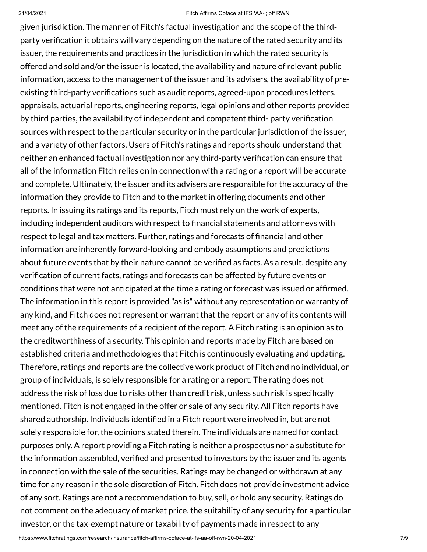#### 21/04/2021 Fitch Affirms Coface at IFS 'AA-'; off RWN

given jurisdiction. The manner of Fitch's factual investigation and the scope of the thirdparty verification it obtains will vary depending on the nature of the rated security and its issuer, the requirements and practices in the jurisdiction in which the rated security is offered and sold and/or the issuer is located, the availability and nature of relevant public information, access to the management of the issuer and its advisers, the availability of preexisting third-party verifications such as audit reports, agreed-upon procedures letters, appraisals, actuarial reports, engineering reports, legal opinions and other reports provided by third parties, the availability of independent and competent third- party verification sources with respect to the particular security or in the particular jurisdiction of the issuer, and a variety of other factors. Users of Fitch's ratings and reports should understand that neither an enhanced factual investigation nor any third-party verification can ensure that all of the information Fitch relies on in connection with a rating or a report will be accurate and complete. Ultimately, the issuer and its advisers are responsible for the accuracy of the information they provide to Fitch and to the market in offering documents and other reports. In issuing its ratings and its reports, Fitch must rely on the work of experts, including independent auditors with respect to financial statements and attorneys with respect to legal and tax matters. Further, ratings and forecasts of financial and other information are inherently forward-looking and embody assumptions and predictions about future events that by their nature cannot be verified as facts. As a result, despite any verification of current facts, ratings and forecasts can be affected by future events or conditions that were not anticipated at the time a rating or forecast was issued or afrmed. The information in this report is provided "as is" without any representation or warranty of any kind, and Fitch does not represent or warrant that the report or any of its contents will meet any of the requirements of a recipient of the report. A Fitch rating is an opinion as to the creditworthiness of a security. This opinion and reports made by Fitch are based on established criteria and methodologies that Fitch is continuously evaluating and updating. Therefore, ratings and reports are the collective work product of Fitch and no individual, or group of individuals, is solely responsible for a rating or a report. The rating does not address the risk of loss due to risks other than credit risk, unless such risk is specifically mentioned. Fitch is not engaged in the offer or sale of any security. All Fitch reports have shared authorship. Individuals identified in a Fitch report were involved in, but are not solely responsible for, the opinions stated therein. The individuals are named for contact purposes only. A report providing a Fitch rating is neither a prospectus nor a substitute for the information assembled, verified and presented to investors by the issuer and its agents in connection with the sale of the securities. Ratings may be changed or withdrawn at any time for any reason in the sole discretion of Fitch. Fitch does not provide investment advice of any sort. Ratings are not a recommendation to buy, sell, or hold any security. Ratings do not comment on the adequacy of market price, the suitability of any security for a particular investor, or the tax-exempt nature or taxability of payments made in respect to any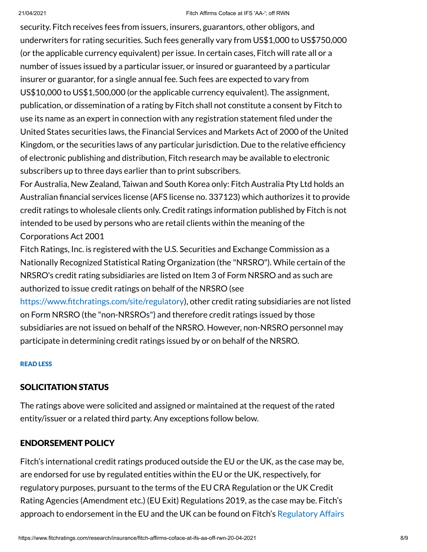security. Fitch receives fees from issuers, insurers, guarantors, other obligors, and underwriters for rating securities. Such fees generally vary from US\$1,000 to US\$750,000 (or the applicable currency equivalent) per issue. In certain cases, Fitch will rate all or a number of issues issued by a particular issuer, or insured or guaranteed by a particular insurer or guarantor, for a single annual fee. Such fees are expected to vary from US\$10,000 to US\$1,500,000 (or the applicable currency equivalent). The assignment, publication, or dissemination of a rating by Fitch shall not constitute a consent by Fitch to use its name as an expert in connection with any registration statement filed under the United States securities laws, the Financial Services and Markets Act of 2000 of the United Kingdom, or the securities laws of any particular jurisdiction. Due to the relative efficiency of electronic publishing and distribution, Fitch research may be available to electronic subscribers up to three days earlier than to print subscribers.

For Australia, New Zealand, Taiwan and South Korea only: Fitch Australia Pty Ltd holds an Australian financial services license (AFS license no. 337123) which authorizes it to provide credit ratings to wholesale clients only. Credit ratings information published by Fitch is not intended to be used by persons who are retail clients within the meaning of the Corporations Act 2001

Fitch Ratings, Inc. is registered with the U.S. Securities and Exchange Commission as a Nationally Recognized Statistical Rating Organization (the "NRSRO"). While certain of the NRSRO's credit rating subsidiaries are listed on Item 3 of Form NRSRO and as such are authorized to issue credit ratings on behalf of the NRSRO (see

https://www.fitchratings.com/site/regulatory), other credit rating subsidiaries are not listed on Form NRSRO (the "non-NRSROs") and therefore credit ratings issued by those subsidiaries are not issued on behalf of the NRSRO. However, non-NRSRO personnel may participate in determining credit ratings issued by or on behalf of the NRSRO.

#### READ LESS

#### SOLICITATION STATUS

The ratings above were solicited and assigned or maintained at the request of the rated entity/issuer or a related third party. Any exceptions follow below.

#### <span id="page-7-0"></span>ENDORSEMENT POLICY

Fitch's international credit ratings produced outside the EU or the UK, as the case may be, are endorsed for use by regulated entities within the EU or the UK, respectively, for regulatory purposes, pursuant to the terms of the EU CRA Regulation or the UK Credit Rating Agencies (Amendment etc.) (EU Exit) Regulations 2019, as the case may be. Fitch's approach to endorsement in the EU and the UK can be found on Fitch's [Regulatory](https://www.fitchratings.com/regulatory) Affairs